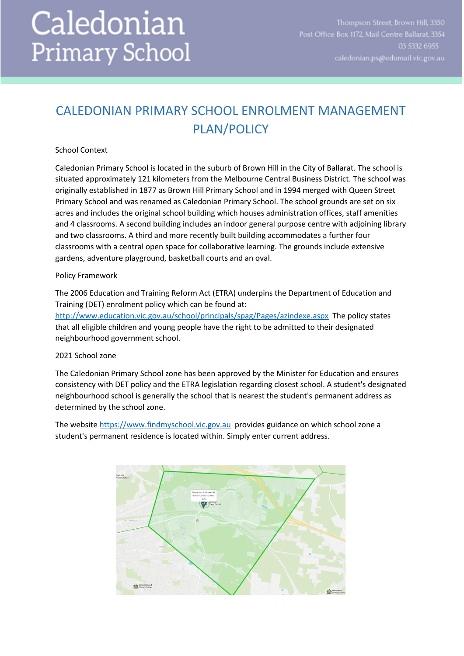# Caledonian **Primary School**

## CALEDONIAN PRIMARY SCHOOL ENROLMENT MANAGEMENT PLAN/POLICY

#### School Context

Caledonian Primary School is located in the suburb of Brown Hill in the City of Ballarat. The school is situated approximately 121 kilometers from the Melbourne Central Business District. The school was originally established in 1877 as Brown Hill Primary School and in 1994 merged with Queen Street Primary School and was renamed as Caledonian Primary School. The school grounds are set on six acres and includes the original school building which houses administration offices, staff amenities and 4 classrooms. A second building includes an indoor general purpose centre with adjoining library and two classrooms. A third and more recently built building accommodates a further four classrooms with a central open space for collaborative learning. The grounds include extensive gardens, adventure playground, basketball courts and an oval.

#### Policy Framework

The 2006 Education and Training Reform Act (ETRA) underpins the Department of Education and Training (DET) enrolment policy which can be found at: <http://www.education.vic.gov.au/school/principals/spag/Pages/azindexe.aspx> The policy states that all eligible children and young people have the right to be admitted to their designated neighbourhood government school.

### 2021 School zone

The Caledonian Primary School zone has been approved by the Minister for Education and ensures consistency with DET policy and the ETRA legislation regarding closest school. A student's designated neighbourhood school is generally the school that is nearest the student's permanent address as determined by the school zone.

The websit[e https://www.findmyschool.vic.gov.au](https://www.findmyschool.vic.gov.au/) provides guidance on which school zone a student's permanent residence is located within. Simply enter current address.